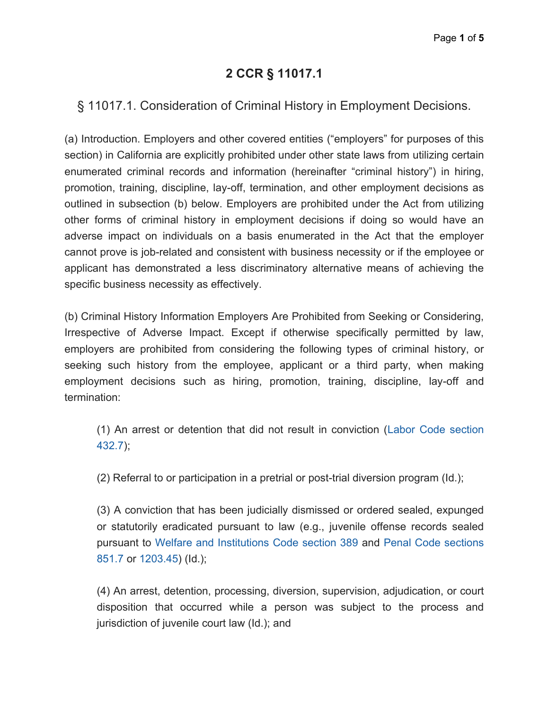## **2 CCR § 11017.1**

## § 11017.1. Consideration of Criminal History in Employment Decisions.

(a) Introduction. Employers and other covered entities ("employers" for purposes of this section) in California are explicitly prohibited under other state laws from utilizing certain enumerated criminal records and information (hereinafter "criminal history") in hiring, promotion, training, discipline, lay-off, termination, and other employment decisions as outlined in subsection (b) below. Employers are prohibited under the Act from utilizing other forms of criminal history in employment decisions if doing so would have an adverse impact on individuals on a basis enumerated in the Act that the employer cannot prove is job-related and consistent with business necessity or if the employee or applicant has demonstrated a less discriminatory alternative means of achieving the specific business necessity as effectively.

(b) Criminal History Information Employers Are Prohibited from Seeking or Considering, Irrespective of Adverse Impact. Except if otherwise specifically permitted by law, employers are prohibited from considering the following types of criminal history, or seeking such history from the employee, applicant or a third party, when making employment decisions such as hiring, promotion, training, discipline, lay-off and termination:

(1) An arrest or detention that did not result in conviction (Labor Code section 432.7);

(2) Referral to or participation in a pretrial or post-trial diversion program (Id.);

(3) A conviction that has been judicially dismissed or ordered sealed, expunged or statutorily eradicated pursuant to law (e.g., juvenile offense records sealed pursuant to Welfare and Institutions Code section 389 and Penal Code sections 851.7 or 1203.45) (Id.);

(4) An arrest, detention, processing, diversion, supervision, adjudication, or court disposition that occurred while a person was subject to the process and jurisdiction of juvenile court law (Id.); and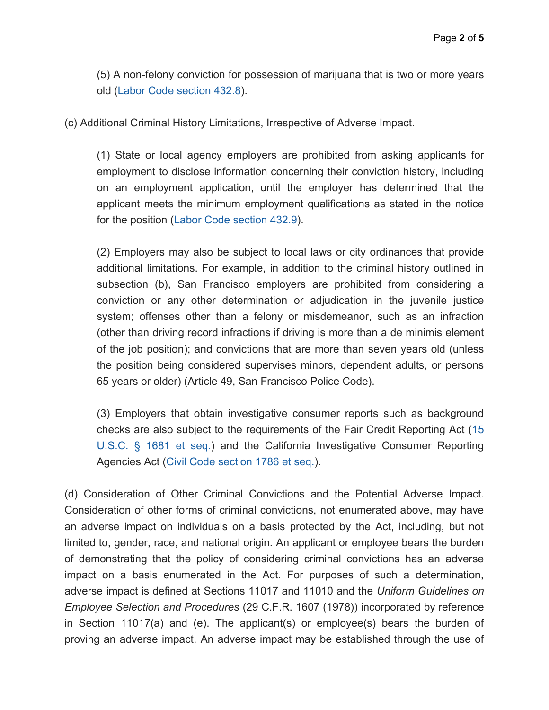(5) A non-felony conviction for possession of marijuana that is two or more years old (Labor Code section 432.8).

(c) Additional Criminal History Limitations, Irrespective of Adverse Impact.

(1) State or local agency employers are prohibited from asking applicants for employment to disclose information concerning their conviction history, including on an employment application, until the employer has determined that the applicant meets the minimum employment qualifications as stated in the notice for the position (Labor Code section 432.9).

(2) Employers may also be subject to local laws or city ordinances that provide additional limitations. For example, in addition to the criminal history outlined in subsection (b), San Francisco employers are prohibited from considering a conviction or any other determination or adjudication in the juvenile justice system; offenses other than a felony or misdemeanor, such as an infraction (other than driving record infractions if driving is more than a de minimis element of the job position); and convictions that are more than seven years old (unless the position being considered supervises minors, dependent adults, or persons 65 years or older) (Article 49, San Francisco Police Code).

(3) Employers that obtain investigative consumer reports such as background checks are also subject to the requirements of the Fair Credit Reporting Act (15 U.S.C. § 1681 et seq.) and the California Investigative Consumer Reporting Agencies Act (Civil Code section 1786 et seq.).

(d) Consideration of Other Criminal Convictions and the Potential Adverse Impact. Consideration of other forms of criminal convictions, not enumerated above, may have an adverse impact on individuals on a basis protected by the Act, including, but not limited to, gender, race, and national origin. An applicant or employee bears the burden of demonstrating that the policy of considering criminal convictions has an adverse impact on a basis enumerated in the Act. For purposes of such a determination, adverse impact is defined at Sections 11017 and 11010 and the *Uniform Guidelines on Employee Selection and Procedures* (29 C.F.R. 1607 (1978)) incorporated by reference in Section 11017(a) and (e). The applicant(s) or employee(s) bears the burden of proving an adverse impact. An adverse impact may be established through the use of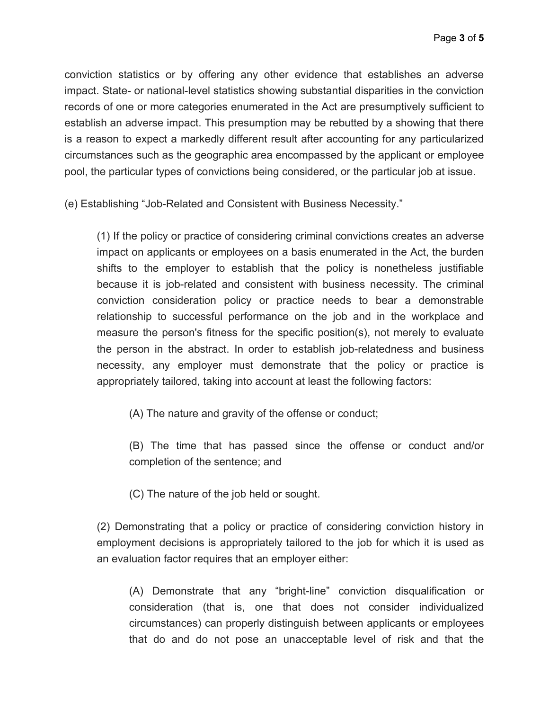conviction statistics or by offering any other evidence that establishes an adverse impact. State- or national-level statistics showing substantial disparities in the conviction records of one or more categories enumerated in the Act are presumptively sufficient to establish an adverse impact. This presumption may be rebutted by a showing that there is a reason to expect a markedly different result after accounting for any particularized circumstances such as the geographic area encompassed by the applicant or employee pool, the particular types of convictions being considered, or the particular job at issue.

(e) Establishing "Job-Related and Consistent with Business Necessity."

(1) If the policy or practice of considering criminal convictions creates an adverse impact on applicants or employees on a basis enumerated in the Act, the burden shifts to the employer to establish that the policy is nonetheless justifiable because it is job-related and consistent with business necessity. The criminal conviction consideration policy or practice needs to bear a demonstrable relationship to successful performance on the job and in the workplace and measure the person's fitness for the specific position(s), not merely to evaluate the person in the abstract. In order to establish job-relatedness and business necessity, any employer must demonstrate that the policy or practice is appropriately tailored, taking into account at least the following factors:

(A) The nature and gravity of the offense or conduct;

(B) The time that has passed since the offense or conduct and/or completion of the sentence; and

(C) The nature of the job held or sought.

(2) Demonstrating that a policy or practice of considering conviction history in employment decisions is appropriately tailored to the job for which it is used as an evaluation factor requires that an employer either:

(A) Demonstrate that any "bright-line" conviction disqualification or consideration (that is, one that does not consider individualized circumstances) can properly distinguish between applicants or employees that do and do not pose an unacceptable level of risk and that the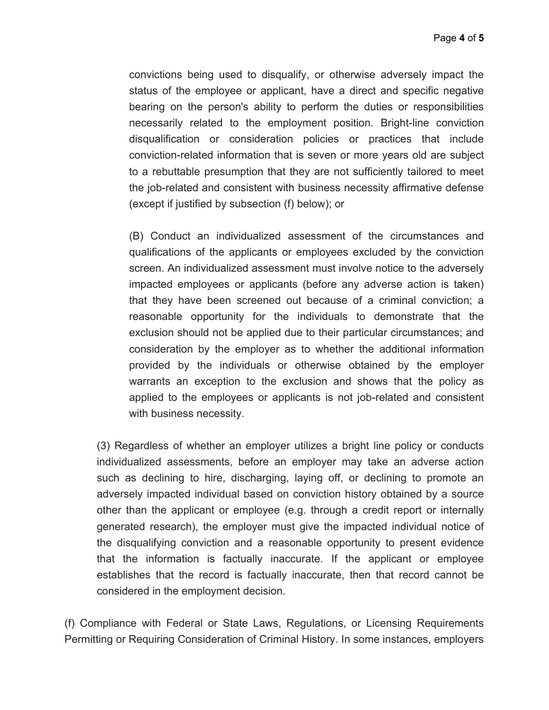convictions being used to disqualify, or otherwise adversely impact the status of the employee or applicant, have a direct and specific negative bearing on the person's ability to perform the duties or responsibilities necessarily related to the employment position. Bright-line conviction disqualification or consideration policies or practices that include conviction-related information that is seven or more years old are subject to a rebuttable presumption that they are not sufficiently tailored to meet the job-related and consistent with business necessity affirmative defense (except if justified by subsection (f) below); or

(B) Conduct an individualized assessment of the circumstances and qualifications of the applicants or employees excluded by the conviction screen. An individualized assessment must involve notice to the adversely impacted employees or applicants (before any adverse action is taken) that they have been screened out because of a criminal conviction; a reasonable opportunity for the individuals to demonstrate that the exclusion should not be applied due to their particular circumstances; and consideration by the employer as to whether the additional information provided by the individuals or otherwise obtained by the employer warrants an exception to the exclusion and shows that the policy as applied to the employees or applicants is not job-related and consistent with business necessity.

(3) Regardless of whether an employer utilizes a bright line policy or conducts individualized assessments, before an employer may take an adverse action such as declining to hire, discharging, laying off, or declining to promote an adversely impacted individual based on conviction history obtained by a source other than the applicant or employee (e.g. through a credit report or internally generated research), the employer must give the impacted individual notice of the disqualifying conviction and a reasonable opportunity to present evidence that the information is factually inaccurate. If the applicant or employee establishes that the record is factually inaccurate, then that record cannot be considered in the employment decision.

(f) Compliance with Federal or State Laws, Regulations, or Licensing Requirements Permitting or Requiring Consideration of Criminal History. In some instances, employers